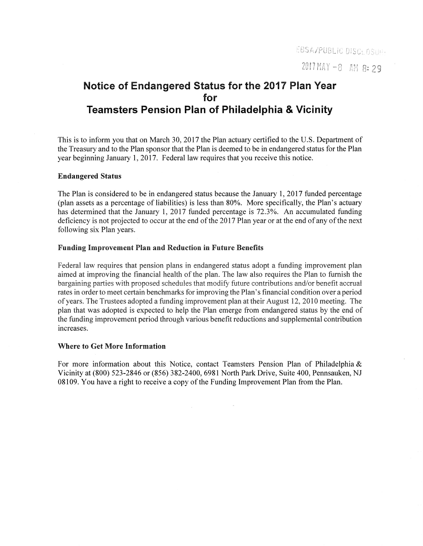# **Notice of Endangered Status for the 2017 Plan Year for Teamsters Pension Plan of Philadelphia & Vicinity**

This is to inform you that on March 30, 2017 the Plan actuary certified to the U.S. Department of the Treasury and to the Plan sponsor that the Plan is deemed to be in endangered status for the Plan year beginning January 1, 2017. Federal law requires that you receive this notice.

#### **Endangered Status**

The Plan is considered to be in endangered status because the January 1, 2017 funded percentage (plan assets as a percentage of liabilities) is less than 80%. More specifically, the Plan's actuary has determined that the January 1, 2017 funded percentage is 72.3%. An accumulated funding deficiency is not projected to occur at the end of the 2017 Plan year or at the end of any of the next following six Plan years.

### **Funding Improvement Plan and Reduction in Future Benefits**

Federal law requires that pension plans in endangered status adopt a funding improvement plan aimed at improving the financial health of the plan. The law also requires the Plan to furnish the bargaining parties with proposed schedules that modify future contributions and/or benefit accrual rates in order to meet certain benchmarks for improving the Plan's financial condition over a period of years. The Trustees adopted a funding improvement plan at their August 12, 2010 meeting. The plan that was adopted is expected to help the Plan emerge from endangered status by the end of the funding improvement period through various benefit reductions and supplemental contribution increases.

#### **Where to Get More Information**

For more information about this Notice, contact Teamsters Pension Plan of Philadelphia  $\&$ Vicinity at (800) 523-2846 or (856) 382-2400, 6981 North Park Drive, Suite 400, Pennsauken, NJ 08109. You have a right to receive a copy of the Funding Improvement Plan from the Plan.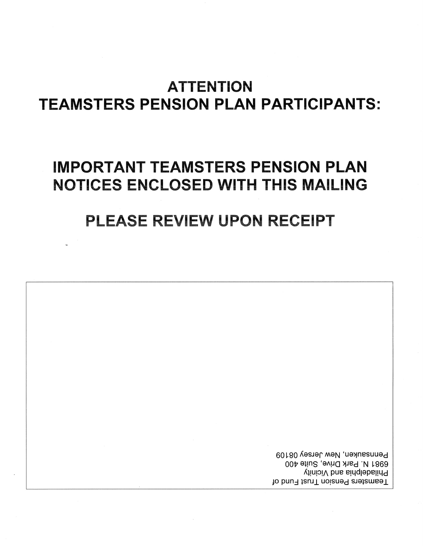# **ATTENTION TEAMSTERS PENSION PLAN PARTICIPANTS:**

# **IMPORTANT TEAMSTERS PENSION PLAN** NOTICES ENCLOSED WITH THIS MAILING

# PLEASE REVIEW UPON RECEIPT

Pennsauken, New Jersey 08109 6981 N. Park Drive, Suite 400 Philadelphia and Vicinity Teamsters Pension Trust Fund of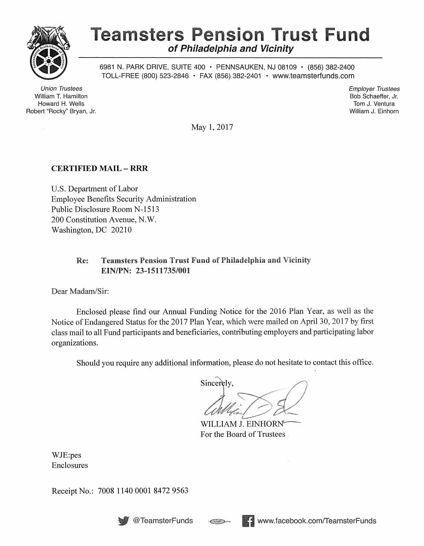

 $\bar{z}$ 

# **Teamsters Pension Trust Fund of Philadelphia and Vicinity**

6981 N. PARK DRIVE, SUITE 400 • PENNSAUKEN, NJ 08109 • (856) 382-2400 TOLL-FREE (800) 523-2846 • FAX (856) 382-2401 • www.teamsterfunds.com

Union Trustees William T. Hamilton Howard H. Wells Robert "Rocky" Bryan, Jr. Employer Trustees Bob Schaeffer, Jr. Tom J. Ventura William J. Einhorn

May 1, 2017

# CERTIFIED MAIL - RRR

U.S. Department of Labor Employee Benefits Security Administration Public Disclosure Room N-1513 200 Constitution Avenue, N.W. Washington, DC 20210

# Re: Teamsters Pension Trust Fund of Philadelphia and Vicinity EIN/PN: 23-1511735/001

Dear Madam/Sir:

Enclosed please find our Annual Funding Notice for the 2016 Plan Year, as well as the Notice of Endangered Status for the 2017 Plan Year, which were mailed on April 30, 2017 by first class mail to all Fund participants and beneficiaries, contributing employers and participating labor organizations.

Should you require any additional information, please do not hesitate to contact this office.

 $\frac{1}{\sqrt{2}}\left(\frac{1}{2}\right)^{2}$ 

WILLIAM J. EINHORN<sup>®</sup> For the Board of Trustees.

WJE:pes Enclosures

Receipt No.: 7008 1140 0001 8472 9563



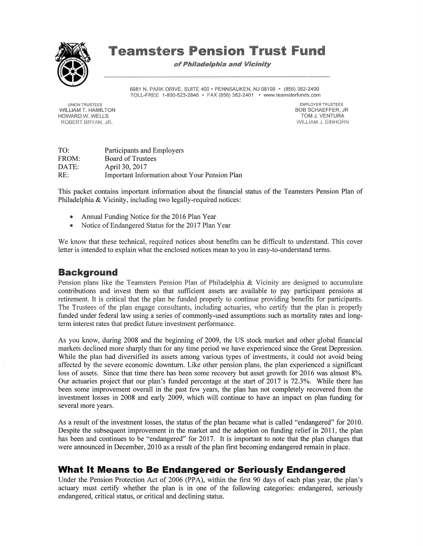

# **Teamsters Pension Trust Fund**

**of Philadelphia and Vicinity** 

6981 N. PARK DRIVE, SUITE 400 · PENNSAUKEN, NJ 08109 · (856) 382-2400 TOLL-FREE 1-800-523-2846 • FAX (856) 382-2401 • www.teamsterfunds.com

UNION TRUSTEES WILLIAM T. HAMILTON HOWARD W. WELLS ROBERT BRYAN, JR.

EMPLOYER TRUSTEES BOB SCHAEFFER, JR TOM J. VENTURA WILLIAM J. EINHORN

TO: FROM: DATE: RE: Participants and Employers Board of Trustees April 30, 2017 Important Information about Your Pension Plan

This packet contains important information about the financial status of the Teamsters Pension Plan of Philadelphia & Vicinity, including two legally-required notices:

- Annual Funding Notice for the 2016 Plan Year
- Notice of Endangered Status for the 2017 Plan Year

We know that these technical, required notices about benefits can be difficult to understand. This cover letter is intended to explain what the enclosed notices mean to you in easy-to-understand terms.

# **Background**

Pension plans like the Teamsters Pension Plan of Philadelphia & Vicinity are designed to accumulate contributions and invest them so that sufficient assets are available to pay participant pensions at retirement. It is critical that the plan be funded properly to continue providing benefits for participants. The Trustees of the plan engage consultants, including actuaries, who certify that the plan is properly funded under federal law using a series of commonly-used assumptions such as mortality rates and longterm interest rates that predict future investment performance.

As you know, during 2008 and the beginning of 2009, the US stock market and other global financial markets declined more sharply than for any time period we have experienced since the Great Depression. While the plan had diversified its assets among various types of investments, it could not avoid being affected by the severe economic downturn. Like other pension plans, the plan experienced a significant loss of assets. Since that time there has been some recovery but asset growth for 2016 was almost 8%. Our actuaries project that our plan's funded percentage at the start of 2017 is 72.3%. While there has been some improvement overall in the past few years, the plan has not completely recovered from the investment losses in 2008 and early 2009, which will continue to have an impact on plan funding for several more years.

As a result of the investment losses, the status of the plan became what is called "endangered" for 2010. Despite the subsequent improvement in the market and the adoption on funding relief in 2011, the plan has been and continues to be "endangered" for 2017. It is important to note that the plan changes that were announced in December, 2010 as a result of the plan first becoming endangered remain in place.

# **What It Means to Be Endangered or Seriously Endangered**

Under the Pension Protection Act of 2006 (PPA), within the first 90 days of each plan year, the plan's actuary must certify whether the plan is in one of the following categories: endangered, seriously endangered, critical status, or critical and declining status.